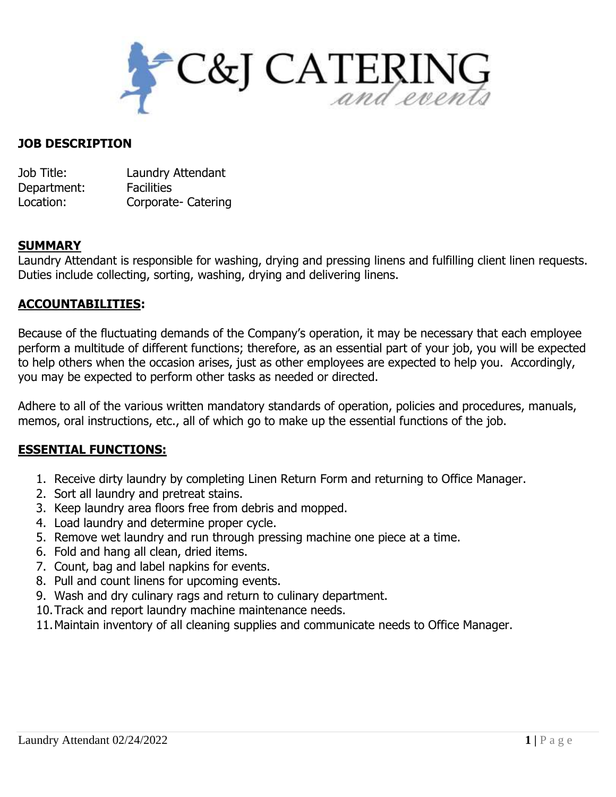

#### **JOB DESCRIPTION**

| Job Title:  | Laundry Attendant   |
|-------------|---------------------|
| Department: | <b>Facilities</b>   |
| Location:   | Corporate- Catering |

### **SUMMARY**

Laundry Attendant is responsible for washing, drying and pressing linens and fulfilling client linen requests. Duties include collecting, sorting, washing, drying and delivering linens.

### **ACCOUNTABILITIES:**

Because of the fluctuating demands of the Company's operation, it may be necessary that each employee perform a multitude of different functions; therefore, as an essential part of your job, you will be expected to help others when the occasion arises, just as other employees are expected to help you. Accordingly, you may be expected to perform other tasks as needed or directed.

Adhere to all of the various written mandatory standards of operation, policies and procedures, manuals, memos, oral instructions, etc., all of which go to make up the essential functions of the job.

## **ESSENTIAL FUNCTIONS:**

- 1. Receive dirty laundry by completing Linen Return Form and returning to Office Manager.
- 2. Sort all laundry and pretreat stains.
- 3. Keep laundry area floors free from debris and mopped.
- 4. Load laundry and determine proper cycle.
- 5. Remove wet laundry and run through pressing machine one piece at a time.
- 6. Fold and hang all clean, dried items.
- 7. Count, bag and label napkins for events.
- 8. Pull and count linens for upcoming events.
- 9. Wash and dry culinary rags and return to culinary department.
- 10.Track and report laundry machine maintenance needs.
- 11.Maintain inventory of all cleaning supplies and communicate needs to Office Manager.